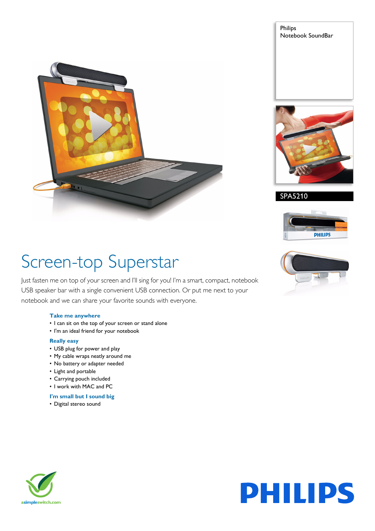







# Screen-top Superstar

Just fasten me on top of your screen and I'll sing for you! I'm a smart, compact, notebook USB speaker bar with a single convenient USB connection. Or put me next to your notebook and we can share your favorite sounds with everyone.

# **Take me anywhere**

- I can sit on the top of your screen or stand alone
- I'm an ideal friend for your notebook

# **Really easy**

- USB plug for power and play
- My cable wraps neatly around me
- No battery or adapter needed
- Light and portable
- Carrying pouch included
- I work with MAC and PC

## **I'm small but I sound big**

• Digital stereo sound